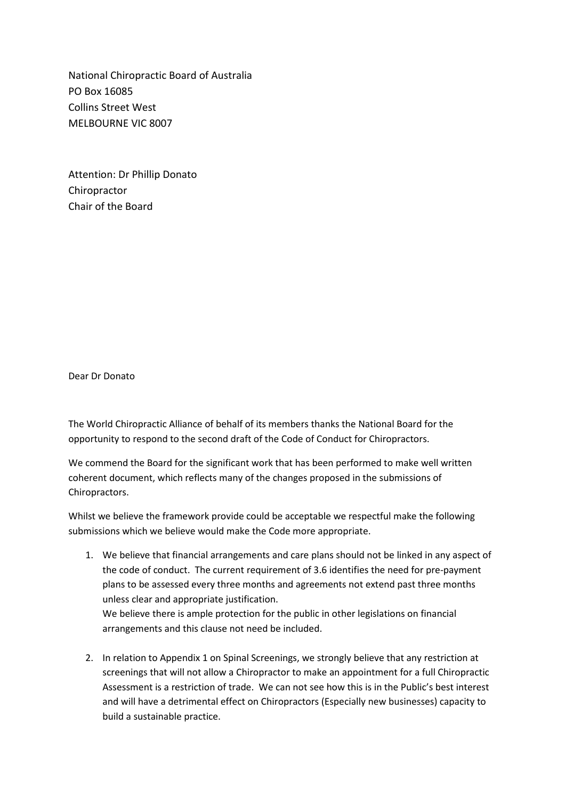National Chiropractic Board of Australia PO Box 16085 Collins Street West MELBOURNE VIC 8007

Attention: Dr Phillip Donato Chiropractor Chair of the Board

Dear Dr Donato

The World Chiropractic Alliance of behalf of its members thanks the National Board for the opportunity to respond to the second draft of the Code of Conduct for Chiropractors.

We commend the Board for the significant work that has been performed to make well written coherent document, which reflects many of the changes proposed in the submissions of Chiropractors.

Whilst we believe the framework provide could be acceptable we respectful make the following submissions which we believe would make the Code more appropriate.

- 1. We believe that financial arrangements and care plans should not be linked in any aspect of the code of conduct. The current requirement of 3.6 identifies the need for pre-payment plans to be assessed every three months and agreements not extend past three months unless clear and appropriate justification. We believe there is ample protection for the public in other legislations on financial arrangements and this clause not need be included.
- 2. In relation to Appendix 1 on Spinal Screenings, we strongly believe that any restriction at screenings that will not allow a Chiropractor to make an appointment for a full Chiropractic Assessment is a restriction of trade. We can not see how this is in the Public's best interest and will have a detrimental effect on Chiropractors (Especially new businesses) capacity to build a sustainable practice.